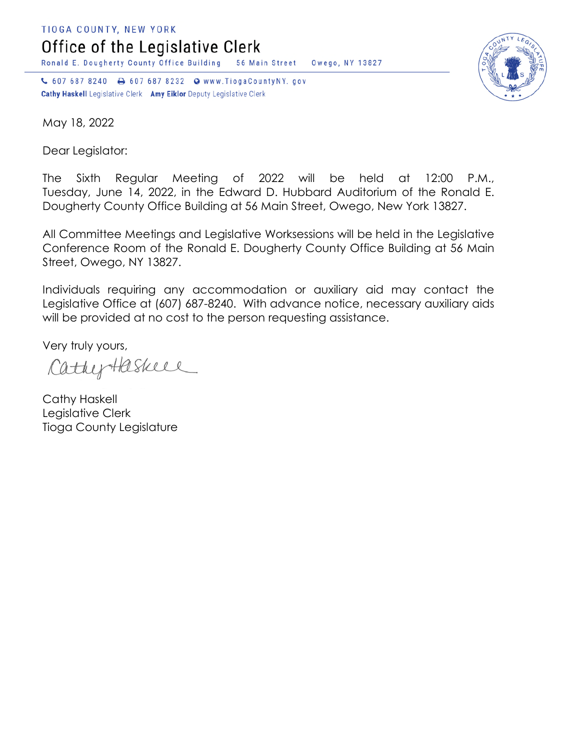TIOGA COUNTY, NEW YORK

Office of the Legislative Clerk

Ronald E. Dougherty County Office Building 56 Main Street Owego, NY 13827

↓ 607 687 8240 → 607 687 8232 → www.TiogaCountyNY.gov Cathy Haskell Legislative Clerk Amy Eiklor Deputy Legislative Clerk



May 18, 2022

Dear Legislator:

The Sixth Regular Meeting of 2022 will be held at 12:00 P.M., Tuesday, June 14, 2022, in the Edward D. Hubbard Auditorium of the Ronald E. Dougherty County Office Building at 56 Main Street, Owego, New York 13827.

All Committee Meetings and Legislative Worksessions will be held in the Legislative Conference Room of the Ronald E. Dougherty County Office Building at 56 Main Street, Owego, NY 13827.

Individuals requiring any accommodation or auxiliary aid may contact the Legislative Office at (607) 687-8240. With advance notice, necessary auxiliary aids will be provided at no cost to the person requesting assistance.

Very truly yours,

CathyHaskell

Cathy Haskell Legislative Clerk Tioga County Legislature